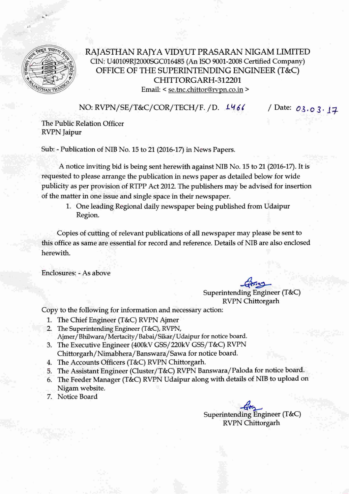

## RAJASTHAN RAJYA VIDYUT PRASARAN NIGAM LIMITED CIN: U40109RJ2000SGCOI6485(An ISO 9001-2008Certified Company) OFFICE OF THE SUPERINTENDING ENGINEER (T&C) CHITTORGARH-312201

Email: < se.tnc.chittor@rvpn.co.in >

NO: RVPN/SE/T&C/COR/TECH/F./D. **146(** / Date: *03.* 0 3· 11-

The Public Relation Officer RVPN [aipur

Sub: - Publication of NIB No. 15 to 21 (2016-17) in News Papers.

A notice inviting bid is being sent herewith against NIB No. 15 to 21 (2016-17). It is requested to please arrange the publication in news paper as detailed below for wide publicity as per provision of RTPP Act 2012 The publishers may be advised for insertion of the matter in one issue and single space in their newspaper.

1. One leading Regional daily newspaper being published from Udaipur Region.

Copies of cutting of relevant publications of all newspaper may please be sent to this office as same are essential for record and reference. Details of NIB are also enclosed herewith.

Enclosures; - As above

~~

Superintending Engineer (T&C) RVPN Chittorgarh

Copy to the following for information and necessary action:

- 1. The Chief Engineer (T&C) RVPN Ajmer
- 2. The Superintending Engineer (T&C), RVPN, Ajmer/Bhilwara/Mertacity /Babai/Sikar/Udaipur for notice board.
- 3. The Executive Engineer (400kV GSS/220kV GSS/T&C) RVPN Chittorgarh/Nimabhera/Banswara/Sawa for notice board.
- 4. The Accounts Officers (T&C) RVPN Chittorgarh.
- 5. The Assistant Engineer (Cluster/T&C) RvPN Banswara/Paloda for notice board,
- 6. The Feeder Manager (T&C)RVPN Udaipur along with details of NIB to upload on Nigam website.
- 7. Notice Board

-?~ Superintending Engineer (T&C) RVPN Chittorgarh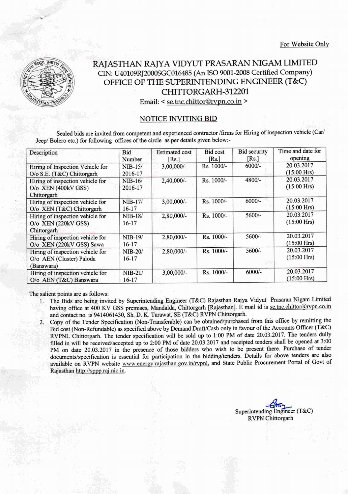

## RAJASTHAN RAJYA VIDYUT PRASARAN NIGAM LIMITED CIN: U40109RJ2000SGC016485 (An ISO 9001-2008 Certified Company) OFFICE OF THE SUPERINTENDING ENGINEER (T&C) CHITTORGARH-312201

Email: < se.tnc.chittor@rvpn.co.in >

## NOTICE INVITING BID

Sealed bids are invited from competent and experienced contractor /firms for Hiring of inspection vehicle (Carl Jeep/ Bolero etc.) for following offices of the circle as per details given below:-

| Description                      | Bid<br>Number | <b>Estimated cost</b><br>[Rs.] | <b>Bid cost</b><br>[Rs.] | <b>Bid security</b><br>[Rs.] | Time and date for<br>opening |
|----------------------------------|---------------|--------------------------------|--------------------------|------------------------------|------------------------------|
| Hiring of Inspection Vehicle for | $NIB-15/$     | $3,00,000/-$                   | Rs. 1000/-               | $6000/-$                     | 20.03.2017                   |
| O/o S.E. (T&C) Chittorgarh       | 2016-17       |                                |                          |                              | $(15:00$ Hrs)                |
| Hiring of inspection vehicle for | $NIB-16/$     | 2,40,000/-                     | $Rs. 1000/-$             | 4800/-                       | 20.03.2017                   |
| O/o XEN (400kV GSS)              | 2016-17       |                                |                          |                              | $(15:00$ Hrs)                |
| Chittorgarh                      |               |                                |                          |                              |                              |
| Hiring of inspection vehicle for | $NIB-17/$     | $3,00,000/$ -                  | Rs. 1000/-               | $6000/-$                     | 20.03.2017                   |
| O/o XEN (T&C) Chittorgarh        | $16-17$       |                                |                          |                              | $(15:00$ Hrs)                |
| Hiring of inspection vehicle for | $NIB-18/$     | 2,80,000/-                     | $Rs. 1000/-$             | $5600/-$                     | 20.03.2017                   |
| $O$ /o XEN (220 $kV$ GSS)        | $16-17$       |                                |                          |                              | $(15:00$ Hrs)                |
| Chittorgarh                      |               |                                |                          |                              |                              |
| Hiring of inspection vehicle for | NIB-19/       | 2,80,000/-                     | $Rs. 1000/-$             | $5600/-$                     | 20.03.2017                   |
| O/o XEN (220kV GSS) Sawa         | $16-17$       |                                |                          |                              | $(15:00$ Hrs)                |
| Hiring of inspection vehicle for | $NIB-20/$     | 2,80,000/-                     | Rs. 1000/-               | $5600/-$                     | 20.03.2017                   |
| O/o AEN (Cluster) Paloda         | 16-17         |                                |                          |                              | $(15:00$ Hrs)                |
| (Banswara)                       |               |                                |                          |                              |                              |
| Hiring of inspection vehicle for | $NIB-21/$     | 3,00,000/-                     | Rs. 1000/-               | $6000/-$                     | 20.03.2017                   |
| O/o AEN (T&C) Banswara           | $16-17$       |                                |                          |                              | $(15:00$ Hrs)                |

The salient points are as follows:

- 1. The Bids are being invited by Superintending Engineer (T&C) Rajasthan Rajya Vidyut Prasaran Nigam Limited having office at 400 KV GSS premises, Mandalda, Chittorgarh [Rajasthan]. E mail id is se.tnc.chittor@rvpn.co.in and contact no. is 9414061430, Sh. D.K. Tarawat, SE (T&C) RvPN Chittorgarh.
- 2. Copy of the Tender Specification (Non-Transferable) can be obtained/purchased from this office by remitting the Bid cost (Non-Refundable) as specified above by Demand Draft/Cash only in favour of the Accounts Officer (T&C) RVPNL Chittorgarh. The tender specification will be sold up to 1:00 PM of date 20.03.2017. The tenders dully filled in will be received/accepted up to 2:00 PM of date 20.03.2017 and receipted tenders shall be opened at 3:00 PM on date 20.03.2017 in the presence of those bidders who wish to be present there. Purchase of tender documents/specification is essential for participation in the bidding/tenders. Details for above tenders are also available on RVPN website www.energy.rajasthan.gov.in/rvpnl, and State Public Procurement Portal of Govt of Rajasthan http://sppp.raj.nic.in.

Superintending Engineer (T&C) RVPN Chittorgarh